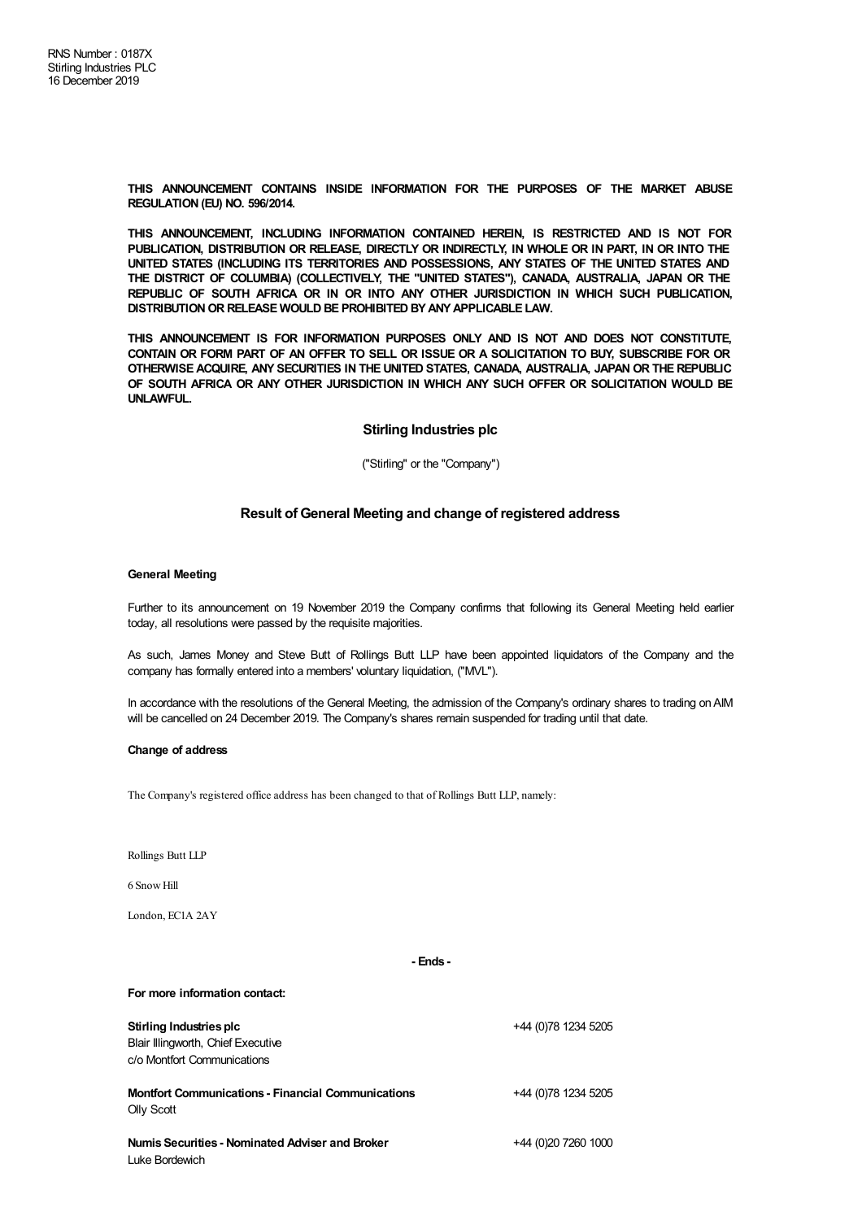**THIS ANNOUNCEMENT CONTAINS INSIDE INFORMATION FOR THE PURPOSES OF THE MARKET ABUSE REGULATION (EU) NO. 596/2014.**

**THIS ANNOUNCEMENT, INCLUDING INFORMATION CONTAINED HEREIN, IS RESTRICTED AND IS NOT FOR PUBLICATION, DISTRIBUTION OR RELEASE, DIRECTLY OR INDIRECTLY, IN WHOLE OR IN PART, IN OR INTO THE UNITED STATES (INCLUDING ITS TERRITORIES AND POSSESSIONS, ANY STATES OF THE UNITED STATES AND THE DISTRICT OF COLUMBIA) (COLLECTIVELY, THE "UNITED STATES"), CANADA, AUSTRALIA, JAPAN OR THE REPUBLIC OF SOUTH AFRICA OR IN OR INTO ANY OTHER JURISDICTION IN WHICH SUCH PUBLICATION, DISTRIBUTIONOR RELEASE WOULD BE PROHIBITED BYANYAPPLICABLE LAW.**

**THIS ANNOUNCEMENT IS FOR INFORMATION PURPOSES ONLY AND IS NOT AND DOES NOT CONSTITUTE,** CONTAIN OR FORM PART OF AN OFFER TO SELL OR ISSUE OR A SOLICITATION TO BUY, SUBSCRIBE FOR OR **OTHERWISE ACQUIRE, ANY SECURITIES IN THE UNITED STATES, CANADA, AUSTRALIA, JAPAN OR THE REPUBLIC OF SOUTH AFRICA OR ANY OTHER JURISDICTION IN WHICH ANY SUCH OFFER OR SOLICITATION WOULD BE UNLAWFUL.**

### **Stirling Industries plc**

("Stirling" or the "Company")

# **Result of General Meeting and change of registered address**

### **General Meeting**

Further to its announcement on 19 November 2019 the Company confirms that following its General Meeting held earlier today, all resolutions were passed by the requisite majorities.

As such, James Money and Steve Butt of Rollings Butt LLP have been appointed liquidators of the Company and the company has formally entered into a members' voluntary liquidation, ("MVL").

In accordance with the resolutions of the General Meeting, the admission of the Company's ordinary shares to trading onAIM will be cancelled on 24 December 2019. The Company's shares remain suspended for trading until that date.

### **Change of address**

The Company's registered office address has been changed to that of Rollings Butt LLP, namely:

Rollings Butt LLP

6 SnowHill

London, EC1A 2AY

### **- Ends -**

#### **For more information contact:**

# **Stirling Industries plc**

Blair Illingworth, Chief Executive c/o Montfort Communications

**Montfort Communications - Financial Communications** Olly Scott

**NumisSecurities - Nominated Adviser and Broker** Luke Bordewich

+44 (0)20 7260 1000

+44 (0)78 1234 5205

+44 (0)78 1234 5205